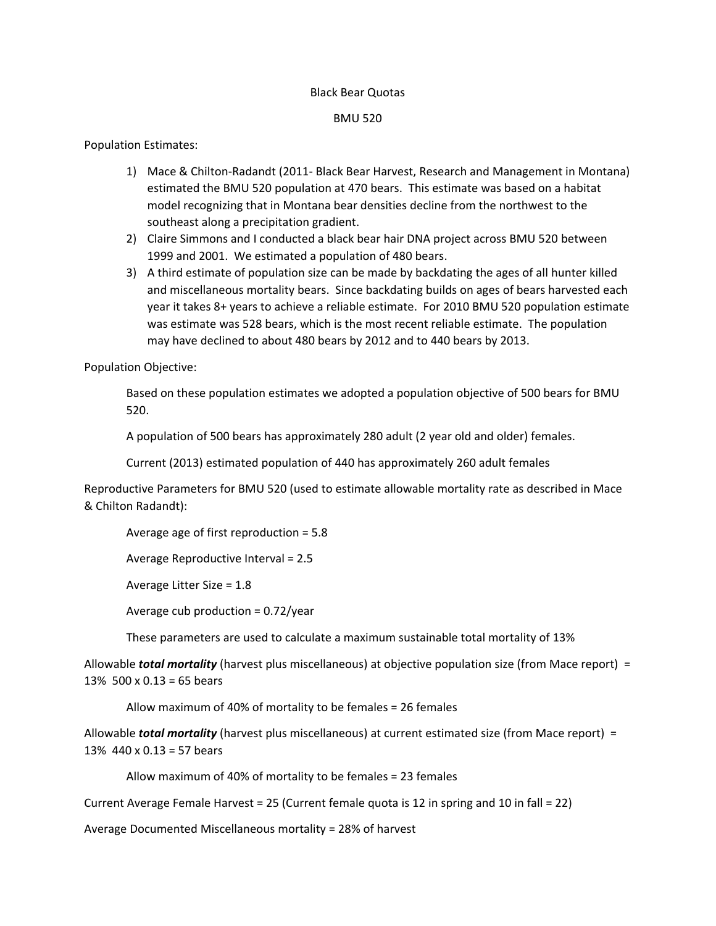### Black Bear Quotas

### BMU 520

# Population Estimates:

- 1) Mace & Chilton-Radandt (2011- Black Bear Harvest, Research and Management in Montana) estimated the BMU 520 population at 470 bears. This estimate was based on a habitat model recognizing that in Montana bear densities decline from the northwest to the southeast along a precipitation gradient.
- 2) Claire Simmons and I conducted a black bear hair DNA project across BMU 520 between 1999 and 2001. We estimated a population of 480 bears.
- 3) A third estimate of population size can be made by backdating the ages of all hunter killed and miscellaneous mortality bears. Since backdating builds on ages of bears harvested each year it takes 8+ years to achieve a reliable estimate. For 2010 BMU 520 population estimate was estimate was 528 bears, which is the most recent reliable estimate. The population may have declined to about 480 bears by 2012 and to 440 bears by 2013.

Population Objective:

Based on these population estimates we adopted a population objective of 500 bears for BMU 520.

A population of 500 bears has approximately 280 adult (2 year old and older) females.

Current (2013) estimated population of 440 has approximately 260 adult females

Reproductive Parameters for BMU 520 (used to estimate allowable mortality rate as described in Mace & Chilton Radandt):

```
Average age of first reproduction = 5.8
```
Average Reproductive Interval = 2.5

Average Litter Size = 1.8

Average cub production =  $0.72$ /year

These parameters are used to calculate a maximum sustainable total mortality of 13%

Allowable *total mortality* (harvest plus miscellaneous) at objective population size (from Mace report) = 13% 500 x 0.13 = 65 bears

Allow maximum of 40% of mortality to be females = 26 females

Allowable *total mortality* (harvest plus miscellaneous) at current estimated size (from Mace report) = 13% 440 x 0.13 = 57 bears

Allow maximum of 40% of mortality to be females = 23 females

Current Average Female Harvest = 25 (Current female quota is 12 in spring and 10 in fall = 22)

Average Documented Miscellaneous mortality = 28% of harvest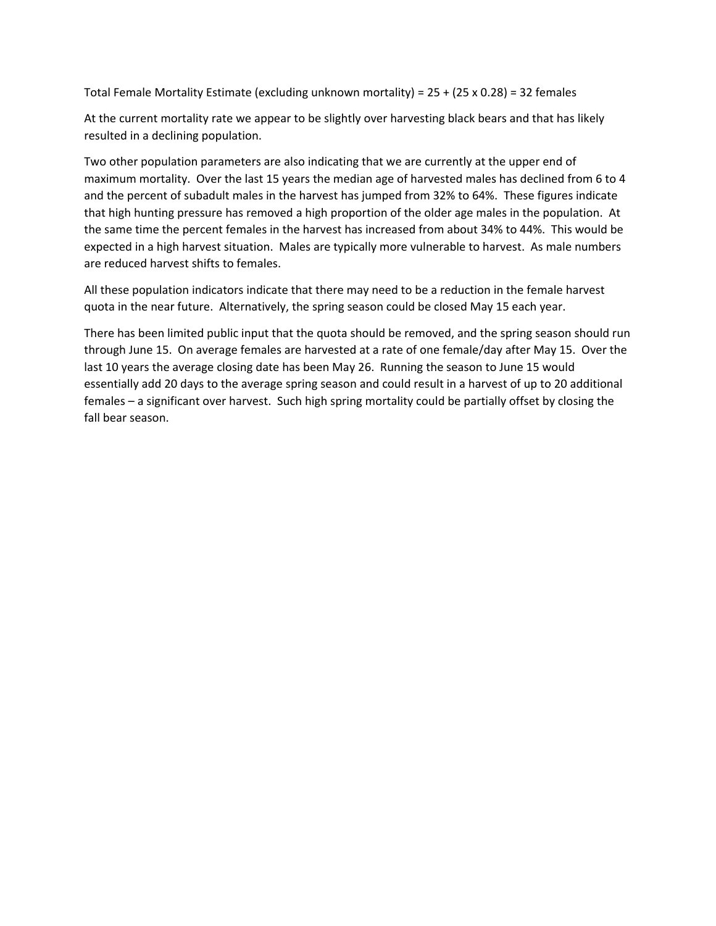Total Female Mortality Estimate (excluding unknown mortality) = 25 + (25 x 0.28) = 32 females

At the current mortality rate we appear to be slightly over harvesting black bears and that has likely resulted in a declining population.

Two other population parameters are also indicating that we are currently at the upper end of maximum mortality. Over the last 15 years the median age of harvested males has declined from 6 to 4 and the percent of subadult males in the harvest has jumped from 32% to 64%. These figures indicate that high hunting pressure has removed a high proportion of the older age males in the population. At the same time the percent females in the harvest has increased from about 34% to 44%. This would be expected in a high harvest situation. Males are typically more vulnerable to harvest. As male numbers are reduced harvest shifts to females.

All these population indicators indicate that there may need to be a reduction in the female harvest quota in the near future. Alternatively, the spring season could be closed May 15 each year.

There has been limited public input that the quota should be removed, and the spring season should run through June 15. On average females are harvested at a rate of one female/day after May 15. Over the last 10 years the average closing date has been May 26. Running the season to June 15 would essentially add 20 days to the average spring season and could result in a harvest of up to 20 additional females – a significant over harvest. Such high spring mortality could be partially offset by closing the fall bear season.